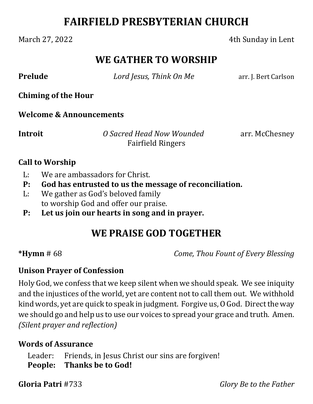# **FAIRFIELD PRESBYTERIAN CHURCH**

#### March 27, 2022 **4th Sunday in Lent**

## **WE GATHER TO WORSHIP**

**Prelude** *<i>Lord Jesus, Think On Me* arr. J. Bert Carlson

**Chiming of the Hour**

**Welcome & Announcements**

**Introit** *O Sacred Head Now Wounded* arr. McChesney Fairfield Ringers

#### **Call to Worship**

- L: We are ambassadors for Christ.
- **P: God has entrusted to us the message of reconciliation.**
- L: We gather as God's beloved family to worship God and offer our praise.
- **P: Let us join our hearts in song and in prayer.**

# **WE PRAISE GOD TOGETHER**

**\*Hymn** # 68 *Come, Thou Fount of Every Blessing*

## **Unison Prayer of Confession**

Holy God, we confess that we keep silent when we should speak. We see iniquity and the injustices of the world, yet are content not to call them out. We withhold kind words, yet are quick to speak in judgment. Forgive us, O God. Direct the way we should go and help us to use our voices to spread your grace and truth. Amen. *(Silent prayer and reflection)*

## **Words of Assurance**

Leader: Friends, in Jesus Christ our sins are forgiven! **People: Thanks be to God!**

**Gloria Patri** #733 *Glory Be to the Father*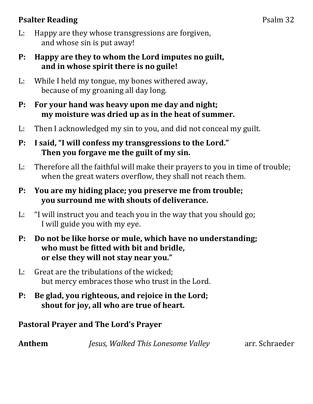## **Psalter Reading** Psalm 32

- L: Happy are they whose transgressions are forgiven, and whose sin is put away!
- **P: Happy are they to whom the Lord imputes no guilt, and in whose spirit there is no guile!**
- L: While I held my tongue, my bones withered away, because of my groaning all day long.
- **P: For your hand was heavy upon me day and night; my moisture was dried up as in the heat of summer.**
- L: Then I acknowledged my sin to you, and did not conceal my guilt.
- **P: I said, "I will confess my transgressions to the Lord." Then you forgave me the guilt of my sin.**
- L: Therefore all the faithful will make their prayers to you in time of trouble; when the great waters overflow, they shall not reach them.
- **P: You are my hiding place; you preserve me from trouble; you surround me with shouts of deliverance.**
- L: "I will instruct you and teach you in the way that you should go; I will guide you with my eye.
- **P: Do not be like horse or mule, which have no understanding; who must be fitted with bit and bridle, or else they will not stay near you."**
- L: Great are the tribulations of the wicked; but mercy embraces those who trust in the Lord.
- **P: Be glad, you righteous, and rejoice in the Lord; shout for joy, all who are true of heart.**

#### **Pastoral Prayer and The Lord's Prayer**

**Anthem**  *Jesus, Walked This Lonesome Valley* arr. Schraeder